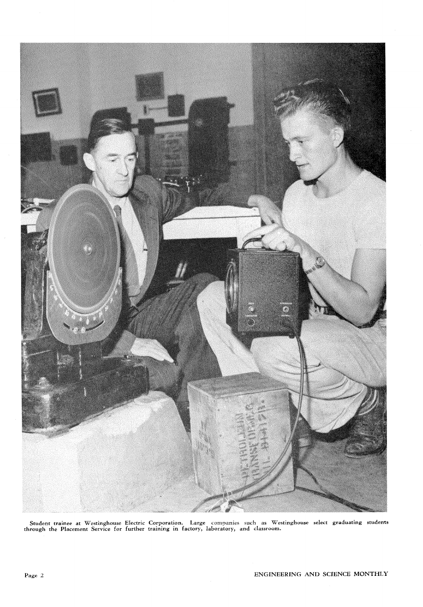

**Student trainee at Westinghouse Electric Corporation. Large companies such as Westinghouse select graduating students through the Placement Service for further training in factory, laboratory, and classroom.**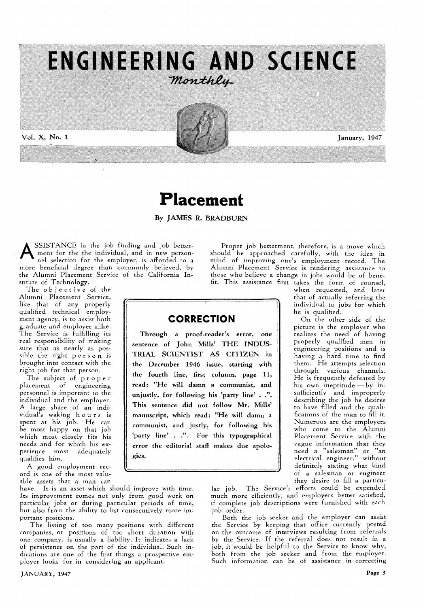

Vol. X, No. 1



By JAMES R. BRADBURN

**A** SSISTANCE<br>ment for the<br>nel selection ment for the the individual, and in new person-SSISTANCE in the job finding and job better- Proper job betterment, therefore, is a move which more beneficial degree than commonly believed, by Alumni Placement Service is rendering assistance to more beneficial degree than commonly believed, by<br>the Alumni Placement Service is rendering assistance to<br>the Alumni Placement Service of the California In-<br>those who believe a change in jobs would be of bene-<br>stitute of T

The objective of the Alumni Placement Service, like that of any properly qualified technical employment agency, is to assist both graduate and employer alike. The Service is fulfilling its real responsibility of making sure that as nearly as possible the right person is brought into contact with the right job for that person.

The subject of proper placement of engineering personnel is important to the individual and the employer. A large share of an individual's waking h o u r s is spent at his job. He can be most happy on that job which most closely fits his needs and for which his experience most adequately qualifies him.

A good employment record is one of the most valuable assets that a man can

have. It is an asset which should improve with time. Its improvement comes not only from good work on particular jobs or during particular periods of time, but also from the ability to list consecutively more important positions.

The listing of too many positions with different companies, or positions of too short duration with one company, is usually a liability. It indicates a lack of persistence on the part of the individual. Such indications are one of the first things a prospective employer looks for in considering an applicant.

should be approached carefully, with the idea in for the employer, is afforded to a mind of improving one's employment record. The fit. This assistance first takes the form of counsel,

when requested, and later that of actually referring the individual to jobs for which he is qualified.

January, 1947

On the other side of the picture is the employer who realizes the need of having properly qualified men in engineering positions and is having a hard time to find them. He attempts selection through various channels. He is frequently defeated by his own ineptitude - by insufficiently and improperly describing the job he desires to have filled and the qualifications of the man to fill it. Numerous are the employers who come to the Alumni Placement Service with the vague information that they need a "salesman" or "an electrical engineer," without definitely stating what kind of a salesman or engineer **u**  they desire to fill a particu-

lar job. The Service's efforts could be expended much more efficiently, and employers better satisfied, if complete job descriptions were furnished with each

job order. Both the job seeker and the employer can assist the Service by keeping that office currently posted on the outcome of interviews resulting from referrals by the Service. If the referral does not result in a job, it would be helpful to the Service to know why, both from the job seeker and from the employer. Such information can be of assistance in correcting

## **CORRECTION**

Through a proof-reader's error, one sentence of John Mills' THE INDUS-TRIAL SCIENTIST AS CITIZEN in the December 1946 issue, starting with the fourth line, first column, page **11,**  read: "He will damn a communist, and unjustly, for following his 'party line' . .". This sentence did not follow Mr. Mills' manuscript, which read: "He will damn a communist, and justly, for following his 'party line' . .". For this typographical error the editorial staff makes due apologies.